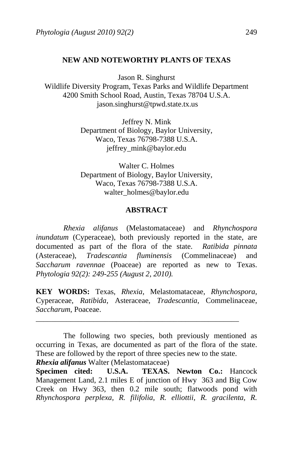# **NEW AND NOTEWORTHY PLANTS OF TEXAS**

Jason R. Singhurst

Wildlife Diversity Program, Texas Parks and Wildlife Department 4200 Smith School Road, Austin, Texas 78704 U.S.A. jason.singhurst@tpwd.state.tx.us

> Jeffrey N. Mink Department of Biology, Baylor University, Waco, Texas 76798-7388 U.S.A. jeffrey\_mink@baylor.edu

> Walter C. Holmes Department of Biology, Baylor University, Waco, Texas 76798-7388 U.S.A. walter\_holmes@baylor.edu

### **ABSTRACT**

 *Rhexia alifanus* (Melastomataceae) and *Rhynchospora inundatum* (Cyperaceae), both previously reported in the state, are documented as part of the flora of the state. *Ratibida pinnata* (Asteraceae), *Tradescantia fluminensis* (Commelinaceae) and *Saccharum ravennae* (Poaceae) are reported as new to Texas. *Phytologia 92(2): 249-255 (August 2, 2010).*

**KEY WORDS:** Texas, *Rhexia*, Melastomataceae, *Rhynchospora*, Cyperaceae, *Ratibida*, Asteraceae, *Tradescantia*, Commelinaceae, *Saccharum*, Poaceae.

\_\_\_\_\_\_\_\_\_\_\_\_\_\_\_\_\_\_\_\_\_\_\_\_\_\_\_\_\_\_\_\_\_\_\_\_\_\_\_\_\_\_\_\_\_\_\_\_\_\_\_\_\_

*Rhexia alifanus* Walter (Melastomataceae)

**Specimen cited: U.S.A. TEXAS. Newton Co.:** Hancock Management Land, 2.1 miles E of junction of Hwy 363 and Big Cow Creek on Hwy 363, then 0.2 mile south; flatwoods pond with *Rhynchospora perplexa, R. filifolia, R. elliottii, R. gracilenta, R.* 

The following two species, both previously mentioned as occurring in Texas, are documented as part of the flora of the state. These are followed by the report of three species new to the state.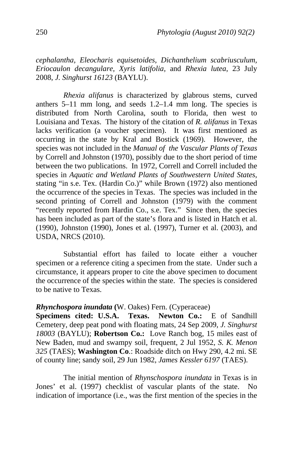*cephalantha, Eleocharis equisetoides, Dichanthelium scabriusculum, Eriocaulon decangulare, Xyris latifolia,* and *Rhexia lutea*, 23 July 2008, *J. Singhurst 16123* (BAYLU).

*Rhexia alifanus* is characterized by glabrous stems, curved anthers 5–11 mm long, and seeds 1.2–1.4 mm long. The species is distributed from North Carolina, south to Florida, then west to Louisiana and Texas. The history of the citation of *R. alifanus* in Texas lacks verification (a voucher specimen). It was first mentioned as occurring in the state by Kral and Bostick (1969). However, the species was not included in the *Manual of the Vascular Plants of Texas* by Correll and Johnston (1970), possibly due to the short period of time between the two publications. In 1972, Correll and Correll included the species in *Aquatic and Wetland Plants of Southwestern United States*, stating "in s.e. Tex. (Hardin Co.)" while Brown (1972) also mentioned the occurrence of the species in Texas. The species was included in the second printing of Correll and Johnston (1979) with the comment "recently reported from Hardin Co., s.e. Tex." Since then, the species has been included as part of the state's flora and is listed in Hatch et al. (1990), Johnston (1990), Jones et al. (1997), Turner et al. (2003), and USDA, NRCS (2010).

Substantial effort has failed to locate either a voucher specimen or a reference citing a specimen from the state. Under such a circumstance, it appears proper to cite the above specimen to document the occurrence of the species within the state. The species is considered to be native to Texas.

# *Rhynchospora inundata* **(**W. Oakes) Fern. (Cyperaceae)

**Specimens cited: U.S.A. Texas. Newton Co.:** E of Sandhill Cemetery, deep peat pond with floating mats, 24 Sep 2009, *J. Singhurst 18003* (BAYLU); **Robertson Co.:** Love Ranch bog, 15 miles east of New Baden, mud and swampy soil, frequent, 2 Jul 1952, *S. K. Menon 325* (TAES); **Washington Co**.: Roadside ditch on Hwy 290, 4.2 mi. SE of county line; sandy soil, 29 Jun 1982, *James Kessler 6197* (TAES).

The initial mention of *Rhynschospora inundata* in Texas is in Jones' et al. (1997) checklist of vascular plants of the state. No indication of importance (i.e., was the first mention of the species in the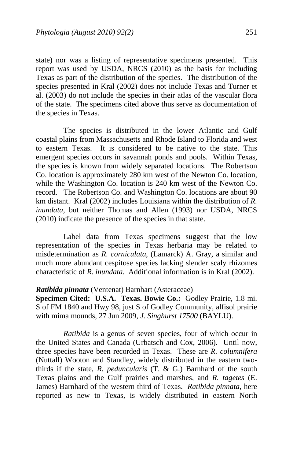state) nor was a listing of representative specimens presented. This report was used by USDA, NRCS (2010) as the basis for including Texas as part of the distribution of the species. The distribution of the species presented in Kral (2002) does not include Texas and Turner et al. (2003) do not include the species in their atlas of the vascular flora of the state. The specimens cited above thus serve as documentation of the species in Texas.

The species is distributed in the lower Atlantic and Gulf coastal plains from Massachusetts and Rhode Island to Florida and west to eastern Texas. It is considered to be native to the state. This emergent species occurs in savannah ponds and pools. Within Texas, the species is known from widely separated locations. The Robertson Co. location is approximately 280 km west of the Newton Co. location, while the Washington Co. location is 240 km west of the Newton Co. record. The Robertson Co. and Washington Co. locations are about 90 km distant. Kral (2002) includes Louisiana within the distribution of *R. inundata*, but neither Thomas and Allen (1993) nor USDA, NRCS (2010) indicate the presence of the species in that state.

Label data from Texas specimens suggest that the low representation of the species in Texas herbaria may be related to misdetermination as *R. corniculata*, (Lamarck) A. Gray, a similar and much more abundant cespitose species lacking slender scaly rhizomes characteristic of *R. inundata*. Additional information is in Kral (2002).

# *Ratibida pinnata* (Ventenat) Barnhart (Asteraceae)

**Specimen Cited: U.S.A. Texas. Bowie Co.:** Godley Prairie, 1.8 mi. S of FM 1840 and Hwy 98, just S of Godley Community, alfisol prairie with mima mounds, 27 Jun 2009, *J. Singhurst 17500* (BAYLU).

*Ratibida* is a genus of seven species, four of which occur in the United States and Canada (Urbatsch and Cox, 2006). Until now, three species have been recorded in Texas. These are *R. columnifera* (Nuttall) Wooton and Standley, widely distributed in the eastern twothirds if the state, *R. peduncularis* (T. & G.) Barnhard of the south Texas plains and the Gulf prairies and marshes, and *R. tagetes* (E. James) Barnhard of the western third of Texas. *Ratibida pinnata*, here reported as new to Texas, is widely distributed in eastern North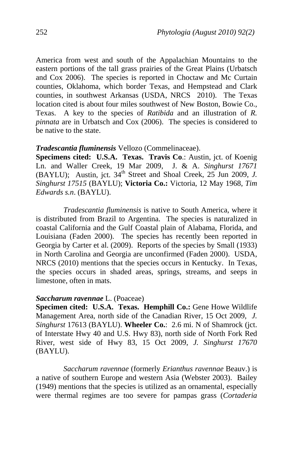America from west and south of the Appalachian Mountains to the eastern portions of the tall grass prairies of the Great Plains (Urbatsch and Cox 2006). The species is reported in Choctaw and Mc Curtain counties, Oklahoma, which border Texas, and Hempstead and Clark counties, in southwest Arkansas (USDA, NRCS 2010). The Texas location cited is about four miles southwest of New Boston, Bowie Co., Texas. A key to the species of *Ratibida* and an illustration of *R. pinnata* are in Urbatsch and Cox (2006). The species is considered to be native to the state.

### *Tradescantia fluminensis* Vellozo (Commelinaceae).

**Specimens cited: U.S.A. Texas. Travis Co**.: Austin, jct. of Koenig Ln. and Waller Creek, 19 Mar 2009, J. & A. *Singhurst 17671* (BAYLU); Austin, jct. 34<sup>th</sup> Street and Shoal Creek, 25 Jun 2009, *J. Singhurst 17515* (BAYLU); **Victoria Co.:** Victoria, 12 May 1968, *Tim Edwards s.n*. (BAYLU).

*Tradescantia fluminensis* is native to South America, where it is distributed from Brazil to Argentina. The species is naturalized in coastal California and the Gulf Coastal plain of Alabama, Florida, and Louisiana (Faden 2000). The species has recently been reported in Georgia by Carter et al. (2009). Reports of the species by Small (1933) in North Carolina and Georgia are unconfirmed (Faden 2000). USDA, NRCS (2010) mentions that the species occurs in Kentucky. In Texas, the species occurs in shaded areas, springs, streams, and seeps in limestone, often in mats.

#### *Saccharum ravennae* L. (Poaceae)

**Specimen cited: U.S.A. Texas. Hemphill Co.: Gene Howe Wildlife** Management Area, north side of the Canadian River, 15 Oct 2009, *J. Singhurst* 17613 (BAYLU). **Wheeler Co.**: 2.6 mi. N of Shamrock (jct. of Interstate Hwy 40 and U.S. Hwy 83), north side of North Fork Red River, west side of Hwy 83, 15 Oct 2009, *J. Singhurst 17670*  (BAYLU).

*Saccharum ravennae* (formerly *Erianthus ravennae* Beauv.) is a native of southern Europe and western Asia (Webster 2003). Bailey (1949) mentions that the species is utilized as an ornamental, especially were thermal regimes are too severe for pampas grass (*Cortaderia*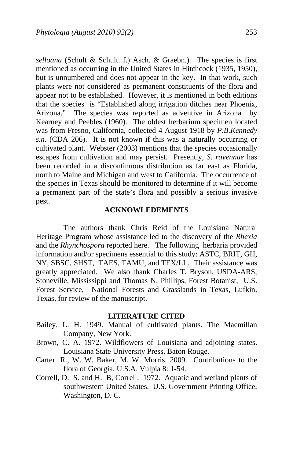*selloana* (Schult & Schult. f.) Asch. & Graebn.). The species is first mentioned as occurring in the United States in Hitchcock (1935, 1950), but is unnumbered and does not appear in the key. In that work, such plants were not considered as permanent constituents of the flora and appear not to be established. However, it is mentioned in both editions that the species is "Established along irrigation ditches near Phoenix, Arizona." The species was reported as adventive in Arizona by Kearney and Peebles (1960). The oldest herbarium specimen located was from Fresno, California, collected 4 August 1918 by *P.B.Kennedy s.n.* (CDA 206). It is not known if this was a naturally occurring or cultivated plant. Webster (2003) mentions that the species occasionally escapes from cultivation and may persist. Presently, *S. ravennae* has been recorded in a discontinuous distribution as far east as Florida, north to Maine and Michigan and west to California. The occurrence of the species in Texas should be monitored to determine if it will become a permanent part of the state's flora and possibly a serious invasive pest.

### **ACKNOWLEDEMENTS**

The authors thank Chris Reid of the Louisiana Natural Heritage Program whose assistance led to the discovery of the *Rhexia* and the *Rhynchospora* reported here. The following herbaria provided information and/or specimens essential to this study: ASTC, BRIT, GH, NY, SBSC, SHST, TAES, TAMU, and TEX/LL. Their assistance was greatly appreciated. We also thank Charles T. Bryson, USDA-ARS, Stoneville, Mississippi and Thomas N. Phillips, Forest Botanist, U.S. Forest Service, National Forests and Grasslands in Texas, Lufkin, Texas, for review of the manuscript.

# **LITERATURE CITED**

- Bailey, L. H. 1949. Manual of cultivated plants. The Macmillan Company, New York.
- Brown, C. A. 1972. Wildflowers of Louisiana and adjoining states. Louisiana State University Press, Baton Rouge.
- Carter. R., W. W. Baker, M. W. Morris. 2009. Contributions to the flora of Georgia, U.S.A. Vulpia 8: 1-54.
- Correll, D. S. and H. B, Correll. 1972. Aquatic and wetland plants of southwestern United States. U.S. Government Printing Office, Washington, D. C.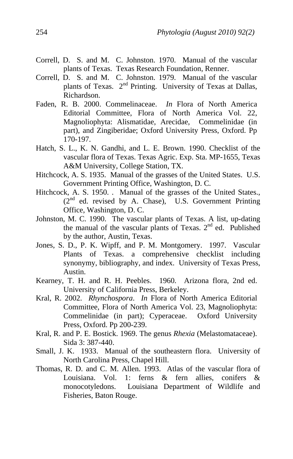- Correll, D. S. and M. C. Johnston. 1970. Manual of the vascular plants of Texas. Texas Research Foundation, Renner.
- Correll, D. S. and M. C. Johnston. 1979. Manual of the vascular plants of Texas. 2<sup>nd</sup> Printing. University of Texas at Dallas, Richardson.
- Faden, R. B. 2000. Commelinaceae. *In* Flora of North America Editorial Committee, Flora of North America Vol. 22, Magnoliophyta: Alismatidae, Arecidae, Commelinidae (in part), and Zingiberidae; Oxford University Press, Oxford. Pp 170-197.
- Hatch, S. L., K. N. Gandhi, and L. E. Brown. 1990. Checklist of the vascular flora of Texas. Texas Agric. Exp. Sta. MP-1655, Texas A&M University, College Station, TX.
- Hitchcock, A. S. 1935. Manual of the grasses of the United States. U.S. Government Printing Office, Washington, D. C.
- Hitchcock, A. S. 1950. . Manual of the grasses of the United States., (2<sup>nd</sup> ed. revised by A. Chase), U.S. Government Printing Office, Washington, D. C.
- Johnston, M. C. 1990. The vascular plants of Texas. A list, up-dating the manual of the vascular plants of Texas.  $2<sup>nd</sup>$  ed. Published by the author, Austin, Texas.
- Jones, S. D., P. K. Wipff, and P. M. Montgomery. 1997. Vascular Plants of Texas. a comprehensive checklist including synonymy, bibliography, and index. University of Texas Press, Austin.
- Kearney, T. H. and R. H. Peebles. 1960. Arizona flora, 2nd ed. University of California Press, Berkeley.
- Kral, R. 2002. *Rhynchospora*. *In* Flora of North America Editorial Committee, Flora of North America Vol. 23, Magnoliophyta: Commelinidae (in part); Cyperaceae. Oxford University Press, Oxford. Pp 200-239.
- Kral, R. and P. E. Bostick. 1969. The genus *Rhexia* (Melastomataceae). Sida 3: 387-440.
- Small, J. K. 1933. Manual of the southeastern flora. University of North Carolina Press, Chapel Hill.
- Thomas, R. D. and C. M. Allen. 1993. Atlas of the vascular flora of Louisiana. Vol. 1: ferns & fern allies, conifers & monocotyledons. Louisiana Department of Wildlife and Fisheries, Baton Rouge.